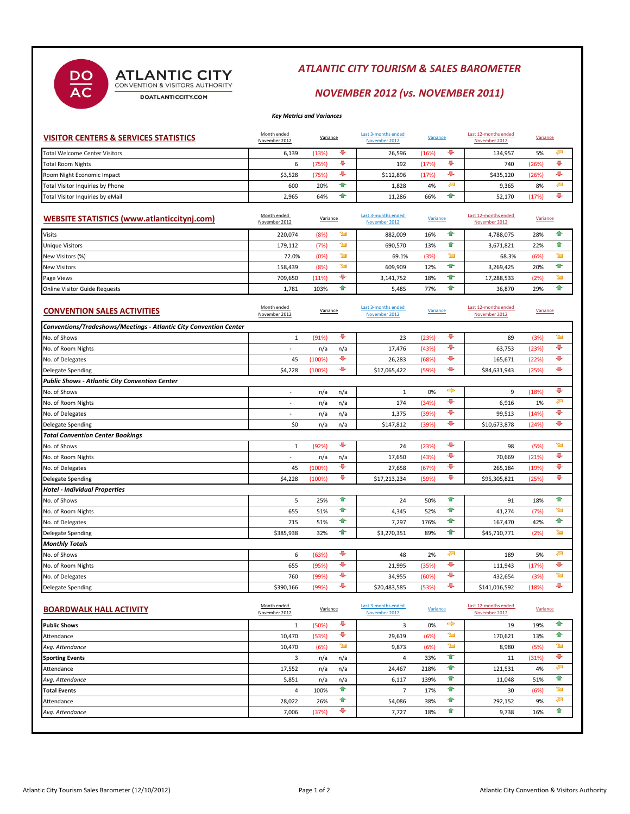# ATLANTIC CITY

 $rac{DO}{AC}$ 

DOATLANTICCITY.COM

### *ATLANTIC CITY TOURISM & SALES BAROMETER*

### *NOVEMBER 2012 (vs. NOVEMBER 2011)*

*Key Metrics and Variances*

| <b>VISITOR CENTERS &amp; SERVICES STATISTICS</b> | Month ended<br>November 2012 | Variance |    | Last 3-months ended<br>November 2012 | Variance |   | Last 12-months ended<br>November 2012 | Variance |  |
|--------------------------------------------------|------------------------------|----------|----|--------------------------------------|----------|---|---------------------------------------|----------|--|
| Total Welcome Center Visitors                    | 6,139                        | (13%)    |    | 26,596                               | (16%)    |   | 134.957                               | 5%       |  |
| <b>Total Room Nights</b>                         |                              | 75%)     |    | 192                                  | (17%)    |   | 740                                   | (26%)    |  |
| Room Night Economic Impact                       | \$3,528                      | (75%)    |    | \$112.896                            | (17%)    |   | \$435.120                             | (26%)    |  |
| Total Visitor Inquiries by Phone                 | 600                          | 20%      | -m | 1.828                                | 4%       | ∽ | 9.365                                 | 8%       |  |
| Total Visitor Inquiries by eMail                 | 2,965                        | 64%      |    | 11.286                               | 66%      |   | 52.170                                | (17%)    |  |

| WEBSITE STATISTICS (www.atlanticcitynj.com) | Month ended<br>November 2012 | Variance |    | Last 3-months ended<br>November 2012 | Variance |    | Last 12-months ended<br>November 2012 | Variance |  |
|---------------------------------------------|------------------------------|----------|----|--------------------------------------|----------|----|---------------------------------------|----------|--|
| <b>Visits</b>                               | 220.074                      | (8%)     | ℠  | 882.009                              | 16%      |    | 4.788.075                             | 28%      |  |
| <b>Unique Visitors</b>                      | 179.112                      | (7%)     | ℠  | 690.570                              | 13%      | m  | 3,671,821                             | 22%      |  |
| New Visitors (%)                            | 72.0%                        | (0%)     | ℠  | 69.1%                                | (3%      |    | 68.3%                                 | (6%)     |  |
| <b>New Visitors</b>                         | 158,439                      | (8%)     | ☜  | 609.909                              | 12%      | -m | 3,269,425                             | 20%      |  |
| Page Views                                  | 709.650                      | (11%)    |    | 3,141,752                            | 18%      | T  | 17,288,533                            | (2%)     |  |
| <b>Online Visitor Guide Requests</b>        | 1.781                        | 103%     | 10 | 5,485                                | 77%      |    | 36.870                                | 29%      |  |

| <b>CONVENTION SALES ACTIVITIES</b>                                | Month ended<br>November 2012 | Variance |     | Last 3-months ended<br>November 2012 | Variance |    | Last 12-months ended<br>November 2012 | Variance |   |
|-------------------------------------------------------------------|------------------------------|----------|-----|--------------------------------------|----------|----|---------------------------------------|----------|---|
| Conventions/Tradeshows/Meetings - Atlantic City Convention Center |                              |          |     |                                      |          |    |                                       |          |   |
| No. of Shows                                                      | 1                            | (91%)    | ÷   | 23                                   | (23%)    | ÷  | 89                                    | (3%)     | ☜ |
| No. of Room Nights                                                | ٠                            | n/a      | n/a | 17,476                               | (43%)    | ÷  | 63,753                                | (23%)    | ¢ |
| No. of Delegates                                                  | 45                           | (100%)   | ٠   | 26,283                               | (68%)    | ÷  | 165,671                               | (22%)    | ¢ |
| Delegate Spending                                                 | \$4,228                      | (100%)   | ٠   | \$17,065,422                         | (59%)    | ⊕  | \$84,631,943                          | (25%)    | ⊕ |
| <b>Public Shows - Atlantic City Convention Center</b>             |                              |          |     |                                      |          |    |                                       |          |   |
| No. of Shows                                                      | $\sim$                       | n/a      | n/a | $\mathbf{1}$                         | 0%       | щÞ | 9                                     | (18%)    | ¢ |
| No. of Room Nights                                                | ٠                            | n/a      | n/a | 174                                  | (34%)    | ۰  | 6,916                                 | 1%       | æ |
| No. of Delegates                                                  | ٠                            | n/a      | n/a | 1,375                                | (39%)    | ÷  | 99,513                                | (14%)    | ♦ |
| <b>Delegate Spending</b>                                          | \$0                          | n/a      | n/a | \$147,812                            | (39%)    | ÷  | \$10,673,878                          | (24%)    | ¢ |
| <b>Total Convention Center Bookings</b>                           |                              |          |     |                                      |          |    |                                       |          |   |
| No. of Shows                                                      | 1                            | (92%)    | ⊕   | 24                                   | (23%)    | ⊕  | 98                                    | (5%)     | ☜ |
| No. of Room Nights                                                |                              | n/a      | n/a | 17,650                               | (43%)    | ¢  | 70,669                                | (21%)    | ¢ |
| No. of Delegates                                                  | 45                           | (100%)   | ٠   | 27.658                               | (67%)    | ۰  | 265.184                               | (19%)    | ¢ |
| <b>Delegate Spending</b>                                          | \$4,228                      | (100%)   | ٠   | \$17,213,234                         | (59%)    | ٠  | \$95,305,821                          | (25%)    | ٠ |
| <b>Hotel - Individual Properties</b>                              |                              |          |     |                                      |          |    |                                       |          |   |
| No. of Shows                                                      | 5                            | 25%      | 全   | 24                                   | 50%      | 全  | 91                                    | 18%      | 合 |
| No. of Room Nights                                                | 655                          | 51%      | 全   | 4,345                                | 52%      | 全  | 41,274                                | (7%)     | ☜ |
| No. of Delegates                                                  | 715                          | 51%      | 全   | 7,297                                | 176%     | 全  | 167.470                               | 42%      | 合 |
| <b>Delegate Spending</b>                                          | \$385,938                    | 32%      | 全   | \$3,270,351                          | 89%      | ↟  | \$45,710,771                          | (2%)     | ≃ |
| <b>Monthly Totals</b>                                             |                              |          |     |                                      |          |    |                                       |          |   |
| No. of Shows                                                      | 6                            | (63%)    | ÷   | 48                                   | 2%       | 져  | 189                                   | 5%       | 参 |
| No. of Room Nights                                                | 655                          | (95%)    | ¢   | 21,995                               | (35%)    | ÷  | 111,943                               | (17%)    | ¢ |
| No. of Delegates                                                  | 760                          | (99%)    | ٠   | 34,955                               | (60%)    | ÷  | 432,654                               | (3%)     | ☜ |
| <b>Delegate Spending</b>                                          | \$390,166                    | (99%)    | ٠   | \$20,483,585                         | (53%)    | ÷  | \$141,016,592                         | (18%)    | ⊕ |

| <b>BOARDWALK HALL ACTIVITY</b> | Month ended<br>Variance<br>November 2012 |       | Last 3-months ended<br>November 2012 | Variance |      | Last 12-months ended<br>November 2012 | Variance |       |     |
|--------------------------------|------------------------------------------|-------|--------------------------------------|----------|------|---------------------------------------|----------|-------|-----|
| <b>Public Shows</b>            | Ŧ                                        | (50%) | ⊕                                    | 3        | 0%   | ➾                                     | 19       | 19%   | Ŧ   |
| Attendance                     | 10,470                                   | (53%) | ⊕                                    | 29,619   | (6%) | ℠                                     | 170,621  | 13%   | 17  |
| Avg. Attendance                | 10,470                                   | (6%)  | ☜                                    | 9,873    | (6%) | ☜                                     | 8,980    | (5%)  | ☜   |
| <b>Sporting Events</b>         | 3                                        | n/a   | n/a                                  | 4        | 33%  |                                       | 11       | (31%) | ⊕   |
| Attendance                     | 17,552                                   | n/a   | n/a                                  | 24,467   | 218% | -m                                    | 121,531  | 4%    | ≁   |
| Avg. Attendance                | 5,851                                    | n/a   | n/a                                  | 6,117    | 139% |                                       | 11,048   | 51%   | æ   |
| <b>Total Events</b>            | 4                                        | 100%  | 企                                    |          | 17%  | 全                                     | 30       | (6%)  | ☜   |
| Attendance                     | 28,022                                   | 26%   | 全                                    | 54,086   | 38%  | m                                     | 292,152  | 9%    | न्व |
| Avg. Attendance                | 7,006                                    | (37%) | ⊕                                    | 7,727    | 18%  | ÷                                     | 9,738    | 16%   | 企   |
|                                |                                          |       |                                      |          |      |                                       |          |       |     |